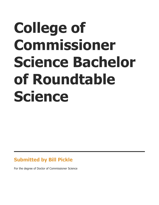# **College of Commissioner Science Bachelor of Roundtable Science**

#### **Submitted by Bill Pickle**

For the degree of Doctor of Commissioner Science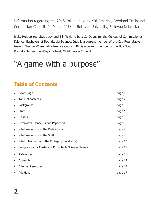Information regarding the 2018 College held by Mid-America, Overland Trails and Cornhusker Councils 24 March 2018 at Bellevue University, Bellevue Nebraska

Ricky Holbert recruited Judy and Bill Pickle to be a Co-Deans for the College of Commissioner Science, Bachelors of Roundtable Science. Judy is a current member of the Cub Roundtable team in Wagon Wheel, Mid-America Council. Bill is a current member of the Boy Scout Roundtable team in Wagon Wheel, Mid-America Council.

## "A game with a purpose"

## **Table of Contents**

|           | Cover Page                                            | page 1  |
|-----------|-------------------------------------------------------|---------|
| $\bullet$ | Table of contents                                     | page 2  |
| $\bullet$ | Background                                            | page 3  |
|           | <b>Staff</b>                                          | page 4  |
| $\bullet$ | Classes                                               | page 5  |
| $\bullet$ | Giveaways, Handouts and Paperwork                     | page 6  |
| $\bullet$ | What we saw from the Participants                     | page 7  |
| $\bullet$ | What we saw from the Staff                            | page 8  |
| $\bullet$ | What I learned from the College (Roundtable)          | page 10 |
| $\bullet$ | Suggestions for Masters of Roundtable Science Classes | page 11 |
| $\bullet$ | References                                            | page 11 |
| $\bullet$ | Appendix                                              | page 12 |
| $\bullet$ | <b>Internet Resources</b>                             | page 15 |
| $\bullet$ | Additional                                            | page 17 |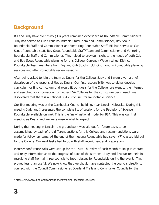#### **Background**

Bill and Judy have over thirty (30) years combined experience as Roundtable Commissioners. Judy has served as Cub Scout Roundtable Staff/Team and Commissioner, Boy Scout Roundtable Staff and Commissioner and Venturing Roundtable Staff. Bill has served as Cub Scout Roundtable staff, Boy Scout Roundtable Staff/Team and Commissioner and Venturing Roundtable Staff and Commissioner. This helped to provide insight to the needs of both Cub and Boy Scout Roundtable planning for this College. Currently Wagon Wheel District Roundtable Team members from Boy and Cub Scouts hold joint monthly Roundtable planning sessions and after Roundtable review sessions.

After being asked to join the team as Deans for the College, Judy and I were given a brief description of the responsibilities as Deans. Our first responsibility was to either develop curriculum or find curriculum that would fit our goals for the College. We went to the internet and searched for information from other BSA Colleges for the curriculum being used. We discovered that there is a national BSA curriculum for Roundtable Science.

Our first meeting was at the Cornhusker Council building, near Lincoln Nebraska. During this meeting Judy and I presented the complete list of sessions for the Bachelor of Science in Roundtable available online<sup>1</sup>. This is the "new" national model for BSA. This was our first meeting as Deans and we were unsure what to expect.

During the meeting in Lincoln, the groundwork was laid out for future tasks to be accomplished by each of the different sections for this College and recommendations were made for follow up items. At the end of the meeting Roundtable had seven (7) classes laid out for the College. Our next tasks had to do with staff recruitment and preparation.

Monthly conference calls were set up for the Third Thursday of each month to keep in contact and relay information as to the progress of each of the sections. Judy and I requested help in recruiting staff from all three councils to teach classes for Roundtable during the event. This proved less than useful. We now know that we should have contacted the councils directly to connect with the Council Commissioner at Overland Trails and Cornhusker Councils for the

 $\overline{a}$ 

<sup>&</sup>lt;sup>1</sup> https://www.scouting.org/commissioners/training/bachelors-courses/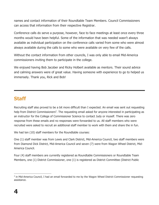names and contact information of their Roundtable Team Members. Council Commissioners can access that information from their respective Registrar.

Conference calls do serve a purpose, however, face to face meetings at least once every three months would have been helpful. Some of the information that was needed wasn't always available as individual participation on the conference calls varied from some who were almost always available during the calls to some who were available on very few of the calls.

Without the contact information from other councils, I was only able to email Mid-America commissioners inviting them to participate in the college.

We enjoyed having Bob Jacober and Ricky Holbert available as mentors. Their sound advice and calming answers were of great value. Having someone with experience to go to helped us immensely. Thank you, Rick and Bob!

#### **Staff**

Recruiting staff also proved to be a bit more difficult than I expected. An email was sent out requesting help from District Commissioners<sup>2</sup>. The requesting email asked for anyone interested in participating as an instructor for the College of Commissioner Science to contact Judy or myself. There was zero response from these emails and no responses were forwarded to us. All staff members who were recruited were asked to recruit an additional staff member to work with them and share the in fun.

We had ten (10) staff members for the Roundtable courses:

One (1) staff member was from Lewis and Clark District, Mid-America Council, two staff members were from Diamond Dick District, Mid-America Council and seven (7) were from Wagon Wheel District, Mid-America Council.

Four (4) staff members are currently registered as Roundtable Commissioners or Roundtable Team Members, one (1) District Commissioner, one (1) is registered as District Committee (District Public

 $\overline{a}$ <sup>2</sup> in Mid-America Council, I had an email forwarded to me by the Wagon Wheel District Commissioner requesting assistance.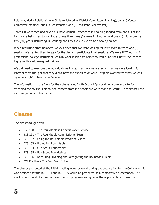Relations/Media Relations), one (1) is registered as District Committee (Training), one (1) Venturing Committee member, one (1) Scoutmaster, one (1) Assistant Scoutmaster,

Three (3) were men and seven (7) were women. Experience in Scouting ranged from one (1) of the instructors being new to training and less than three (3) years in Scouting and one (1) with more than fifty (50) years instructing in Scouting and fifty-five (55) years as a Scout/Scouter.

When recruiting staff members, we explained that we were looking for instructors to teach one (1) session. We wanted them to stay for the day and participate in all sessions. We were NOT looking for professional college instructors, we DID want reliable trainers who would "Do their Best". We needed highly motivated, energized trainers.

We did need to reassure the individuals we invited that they were exactly what we were looking for. Many of them thought that they didn't have the expertise or were just plain worried that they weren't "good enough" to teach at a College.

The information on the fliers for the college listed "with Council Approval" as a pre-requisite for attending the course. This caused concern from the people we were trying to recruit. That almost kept us from getting our instructors.

#### **Classes**

The classes taught were:

- BSC 150 The Roundtable in Commissioner Service
- BCS 151 The Roundtable Commissioner Team
- BCS 152 Using the Roundtable Program Guides
- BCS 153 Promoting Roundtable
- BCS 154 Cub Scout Roundtables
- BCS 155 Boy Scout Roundtables
- BCS 156 Recruiting, Training and Recognizing the Roundtable Team
- BCS Elective The Fun Doesn't Stop

The classes presented at the initial meeting were reviewed during the preparation for the College and it was decided that the BCS 154 and BCS 155 would be presented as a comparative presentation. This would show the similarities between the two programs and give us the opportunity to present an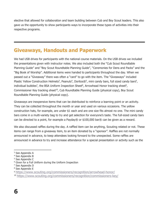elective that allowed for collaboration and team building between Cub and Boy Scout leaders. This also gave us the opportunity to show participants ways to incorporate these types of activities into their respective programs.

#### **Giveaways, Handouts and Paperwork**

We had USB drives for participants with the national course materials. On the USB drives we included the presentations given with instructor notes. We also included both the "Cub Scout Roundtable Planning Guide" and "Boy Scout Roundtable Planning Guide", "Ceremonies for Dens and Packs" and the "Big Book of Worship". Additional items were handed to participants throughout the day. When we passed out a "Giveaway" there was often a "card" to go with the item. The "Giveaways" included Plastic Yellow Construction Helmets<sup>3</sup>, Peanuts<sup>4</sup>, Doritos $\mathcal{D}^5$ , mini candy bars, full sized candy bars<sup>6</sup>, individual bubbles<sup>7</sup>, the BSA Uniform Inspection Sheet<sup>8</sup>, Arrowhead Honor tracking sheet<sup>9</sup>, Commissioner Key tracking sheet<sup>10</sup>, Cub Roundtable Planning Guide (physical copy), Boy Scout Roundtable Planning Guide (physical copy).

Giveaways are inexpensive items that can be distributed to reinforce a learning point or an activity. They can be collected throughout the month or year and used on various occasions. The yellow construction hats, for example, are under \$1 each and are one size fits almost no one. The mini candy bars come in a multi-variety bag to try and get selection for everyone's taste. The full-sized candy bars can be directed to a point, for example a Payday $\circledR$  or \$100,000 bar $\circledR$  can be given as a reward.

We also discussed raffles during the day. A raffled item can be anything, Scouting related or not. These items can range from a giveaway item, to an item donated by a "sponsor". Raffles are not normally announced in advance, to keep attendees looking forward to the unexpected. Some raffles are announced in advance to try and increase attendance for a special presentation or activity such as the

 $\overline{a}$ 

<sup>&</sup>lt;sup>3</sup> See Appendix A

<sup>4</sup> See Appendix B

<sup>5</sup> See Appendix C

<sup>6</sup> Given for a Full Uniform during the Uniform Inspection

<sup>7</sup> See Appendix D

<sup>8</sup> See Appendix E

<sup>9</sup> <https://www.scouting.org/commissioners/recognition/arrowhead-honor/>

<sup>10</sup> <https://www.scouting.org/commissioners/recognition/commissioners-key/>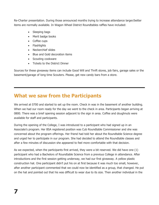Re-Charter presentation. During those announced months trying to increase attendance larger/better items are normally available. In Wagon Wheel District Roundtables raffles have included:

- Sleeping bags
- Merit badge books
- Coffee cups
- Flashlights
- Neckerchief slides
- Blue and Gold decoration items
- Scouting cookware
- Tickets to the District Dinner

Sources for these giveaway items can include Good Will and Thrift stores, job fairs, garage sales or the basement/garage of long time Scouters. Please, get new candy bars from a store.

#### **What we saw from the Participants**

We arrived at 0700 and started to set up the room. Check in was in the basement of another building. When we had our room ready for the day we went to the check in area. Participants began arriving at 0800. There was a brief opening session adjacent to the sign in area. Coffee and doughnuts were available for staff and participants.

During the opening of the College, I was introduced to a participant who had signed up in an Associate's program. Her BSA registered position was Cub Roundtable Commissioner and she was concerned about the program offerings. Her friend had told her about the Roundtable Science degree and urged her to participate in our program. She had decided to attend the Roundtable classes and after a few minutes of discussion she appeared to feel more comfortable with that decision.

As we expected, when the participants first arrived, they were a bit reserved. We did have one (1) participant who had a Bachelors of Roundtable Science from a previous College in attendance. After introductions and the first session getting underway, we had our first giveaway. A yellow plastic construction hat. One participant didn't put his on at first because it was much too small, however, after another participant commented that we could now be identified as a group, that changed. He put on the hat and pointed out that his was difficult to wear due to its size. Then another individual in the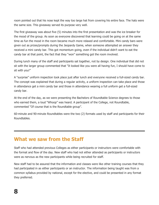room pointed out that his nose kept the way too large hat from covering his entire face. The hats were the same size. This giveaway served its purpose very well.

The first giveaway was about five (5) minutes into the first presentation and was the ice breaker for the mood of the group. As soon as everyone discovered that learning could be going on at the same time as fun the mood in the room became much more relaxed and comfortable. Mini candy bars were given out as prizes/prompts during the Jeopardy Game, when someone attempted an answer they received a mini candy bar. This got momentum going, even if the individual didn't want to eat the candy bar at that point, the fact that they "won" something got the room involved.

During lunch many of the staff and participants sat together, not by design. One individual that did not sit with the larger group commented that "It looked like you were all having fun, I should have come to sit with you!"

A "surprise" uniform inspection took place just after lunch and everyone received a full-sized candy bar. The concept was explained that during a regular activity, a uniform inspection can take place and those in attendance get a mini candy bar and those in attendance wearing a full uniform get a full-sized candy bar.

At the end of the day, as we were presenting the Bachelors of Roundtable Science degrees to those who earned them, a loud "Whoop" was heard. A participant of the College, not Roundtable, commented "Of course that is the Roundtable group".

60-minute and 90-minute Roundtables were the two (2) formats used by staff and participants for their Roundtables.

#### **What we saw from the Staff**

Staff who had attended previous Colleges as either participants or instructors were comfortable with the format and flow of the day. New staff who had not either attended as participants or instructors were as nervous as the new participants while being recruited for staff.

New staff had to be assured that the information and classes were like other training courses that they had participated in as either participants or an instructor. The information being taught was from a common syllabus provided by national, except for the elective, and could be presented in any format they preferred.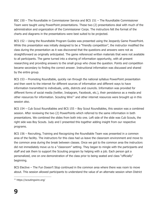BSC 150 – The Roundtable in Commissioner Service and BCS 151 – The Roundtable Commissioner Team were taught using PowerPoint presentations. These two (2) presentations deal with much of the administration and organization of the Commissioner Corps. The instructors felt the format of the charts and diagrams in the presentations were best suited to be projected.

BCS 152 – Using the Roundtable Program Guides was presented using the Jeopardy Game PowerPoint. While this presentation was initially designed to be a "friendly competition", the instructor modified the class during the presentation as it was discovered that the questions and answers were not as straightforward as originally anticipated. The game referenced written materials that were not available to all participants. The game turned into a sharing of information opportunity, with all present researching and providing answers to the small group who chose the question. Points and competition became secondary to finding the correct answer. Instructional information was discussed and shared by the entire group.

BCS 153 – Promoting Roundtable, quickly ran through the national syllabus PowerPoint presentation and then went to the internet for different sources of information and different ways to have information transmitted to individuals, units, districts and councils. Information was provided for different forms of social media (twitter, Instagram, Facebook, etc.), their persistence as a media and other resources for information. Scouting Wire<sup>11</sup> and other internet resources were brought up in this session also.

BCS 154 – Cub Scout Roundtables and BCS 155 – Boy Scout Roundtables, this session was a combined session. After reviewing the two (2) PowerPoints which referred to the same information in both presentations. We combined the slides from both into one. Left side of the slide was Cub Scouts, the right side was Boy Scouts. Judy and I presented this together adding insight from our respective programs.

BCS 156 – Recruiting, Training and Recognizing the Roundtable Team was presented in a common area of the facility. The instructors for this class had us leave the classroom environment and move to the common area during the break between classes. Once we got to the common area the instructors did not immediately move us to a "classroom" setting. They began to mingle with the participants and staff and ask them to support the Scouting program by helping with a job. Each person got a personalized, one on one demonstration of the class prior to being seated and class "officially" beginning.

BCS Elective – The Fun Doesn't Stop continued in the common area where there was room to move about. This session allowed participants to understand the value of an alternate session when District

 $\overline{a}$ 

<sup>11</sup> https://scoutingwire.org/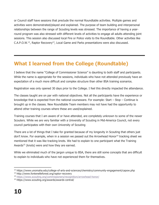or Council staff have sessions that preclude the normal Roundtable activities. Multiple games and activities were demonstrated/played and explained. The purpose of team building and interpersonal relationships between the range of Scouting levels was stressed. The importance of having a yearround program was also stressed with different levels of activities to engage all adults attending joint sessions. This session also discussed local Fire or Police visits to the Roundtable. Other activities like C.A.P.O.W.<sup>12</sup>, Raptor Recovery<sup>13</sup>, Local Game and Parks presentations were also discussed.

## **What I learned from the College (Roundtable)**

I believe that the name "College of Commissioner Science" is daunting to both staff and participants. While the name is appropriate for the sessions, individuals who have not attended previously have an expectation of a much more difficult and complex structure than other BSA training scenarios.

Registration was only opened 30 days prior to the College. I feel this directly impacted the attendance.

The classes taught are on par with national objectives. Not all the participants have the experience or knowledge that is expected from the national courseware. For example: Start – Stop – Continue is brought up in the classes. New Roundtable Team members may not have had the opportunity to attend other training courses where these are used/explained.

Training courses that I am aware of or have attended, are completely unknown to some of the newer Scouters. While we are very familiar with a University of Scouting in Mid-America Council, not every council participates with their own University of Scouting

There are a lot of things that I take for granted because of my longevity in Scouting that others just don't know. For example, when in a session we passed out the Arrowhead Honor<sup>14</sup> tracking sheet we mentioned that it was like tracking knots. We had to explain to one participant what the Training Awards<sup>15</sup> (knots) were and how they are earned.

While we eliminated much of the jargon unique to BSA, there are still some concepts that are difficult to explain to individuals who have not experienced them for themselves.

 $\overline{a}$ <sup>12</sup> https://www.unomaha.edu/college-of-arts-and-sciences/chemistry/community-engagement/capow.php

<sup>13</sup> http://www.fontenelleforest.org/raptor-recovery

<sup>14</sup> <https://www.scouting.org/commissioners/recognition/arrowhead-honor/>

<sup>15</sup> https://www.scouting.org/awards/awards-central/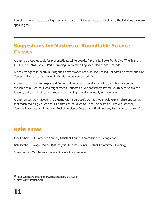Sometimes when we are saying exactly what we want to say, we are not clear to the individuals we are speaking to.

#### **Suggestions for Masters of Roundtable Science Classes**

A class that teaches tools for presentations, white boards, flip charts, PowerPoint. Like "The Trainers E.D.G.E.<sup>16</sup>" - **Module 2**— Part 1 Training Preparation‐Logistics, Media, and Methods.

A class that goes in-depth in using the Commissioner Tools on line<sup>17</sup> to log Roundtable activity and Unit Contacts. These are mentioned in the Bachelors courses briefly.

A class that names and explains different training courses available online and physical courses available to all Scouters who might attend Roundtable. We constantly say the youth deserve trained leaders, but do not let leaders know what training is available locally or nationally.

A class on games – "Scouting is a game with a purpose", perhaps we should explain different games that teach scouting values and skills that can be taken to units. For example, First Aid Baseball, Communication game, knot race, Pocket version of Jeopardy with almost any topic you can think of.

#### **References**

Rick Holbert – Mid-America Council, Assistant Council Commissioner (Recognition)

Bob Jacober – Wagon Wheel District (Mid-America Council) District Committee (Training)

Steve Lanni – Mid-America Council, Council Commissioner

 $\overline{a}$ <sup>16</sup> https://filestore.scouting.org/filestore/pdf/26-242.pdf

<sup>17</sup> https://my.scouting.org/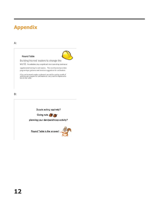### **Appendix**

A:

#### Round Table



Building trained leaders to change the

WOrld. Roundtables play a significant role in providing continuous

supplemental training for unit leaders. This monthly event provides program topic guidance and structure suggestions for unit leaders.

A fun environment creates excitement around the coming month of<br>activities and program for unit leaders to carry back for implementa-<br>tion in their units.

B:

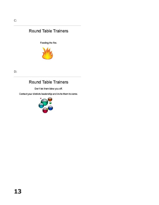#### **Round Table Trainers**

Feeding the fire.



D:

#### Round Table Trainers

Don't let them blow you off.

Contact your districts leadership and invite them to come.

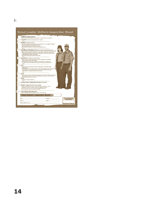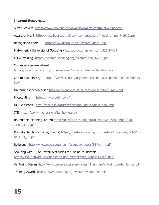#### **Internet Resources.**

Silver Beaver: <https://www.scouting.org/awards/awards-central/silver-beaver/>

Award of Merit: [http://www.boyscouttrail.com/content/award/medal\\_of\\_merit-1919.asp](http://www.boyscouttrail.com/content/award/medal_of_merit-1919.asp)

Recognition knots <http://www.usscouts.org/awards/knots1.asp>

Mid-America University of Scouting - <https://scoutingevent.com/326-17429>

EDGE training- <https://filestore.scouting.org/filestore/pdf/26-242.pdf>

Commissioner Arrowhead

<https://www.scouting.org/commissioners/recognition/arrowhead-honor/>

Commissioners Key [https://www.scouting.org/commissioners/recognition/commissioners](https://www.scouting.org/commissioners/recognition/commissioners-key/)[key/](https://www.scouting.org/commissioners/recognition/commissioners-key/)

Uniform inspection guide [http://www.boyscouttrail.com/docs/uniform\\_male.pdf](http://www.boyscouttrail.com/docs/uniform_male.pdf)

My.scouting <https://my.scouting.org/>

UC Field book [http://mac-bsa.org/Post/sections/10/Files/field\\_book.pdf](http://mac-bsa.org/Post/sections/10/Files/field_book.pdf)

JTE [http://www.mac-bsa.org/jte\\_home.aspx](http://www.mac-bsa.org/jte_home.aspx)

Roundtable planning. (cubs) [https://filestore.scouting.org/filestore/cubscouts/pdf/510-](https://filestore.scouting.org/filestore/cubscouts/pdf/510-714(17)_CS.pdf) [714\(17\)\\_CS.pdf](https://filestore.scouting.org/filestore/cubscouts/pdf/510-714(17)_CS.pdf)

Roundtable planning (boy scouts) [https://filestore.scouting.org/filestore/boyscouts/pdf/510-](https://filestore.scouting.org/filestore/boyscouts/pdf/510-045(17)_BS.pdf) [045\(17\)\\_BS.pdf](https://filestore.scouting.org/filestore/boyscouts/pdf/510-045(17)_BS.pdf)

Religious <http://www.macscouter.com/scoutsown/docs/BBRevrnt.pdf>

Scouting wire. For PowerPoint slides for use at Roundtable <https://scoutingwire.org/marketing-and-membership-hub/unit-recruiting/>

Venturing Manual<http://www.people.vcu.edu/~albest/Training/VenturingLeaderManual.pdf>

Training Awards<https://www.scouting.org/awards/awards-central/>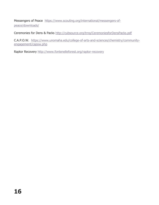Messengers of Peace [https://www.scouting.org/international/messengers-of](https://www.scouting.org/international/messengers-of-peace/downloads/)[peace/downloads/](https://www.scouting.org/international/messengers-of-peace/downloads/)

Ceremonies for Dens & Packs<http://cubsource.org/trng/CeremoniesforDensPacks.pdf>

C.A.P.O.W. [https://www.unomaha.edu/college-of-arts-and-sciences/chemistry/community](https://www.unomaha.edu/college-of-arts-and-sciences/chemistry/community-engagement/capow.php)[engagement/capow.php](https://www.unomaha.edu/college-of-arts-and-sciences/chemistry/community-engagement/capow.php)

Raptor Recovery<http://www.fontenelleforest.org/raptor-recovery>